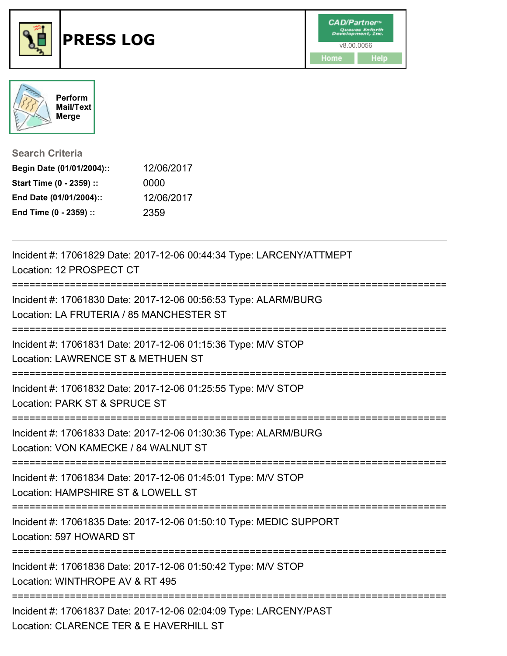



**Search Criteria**

| Begin Date (01/01/2004):: | 12/06/2017 |
|---------------------------|------------|
| Start Time (0 - 2359) ::  | 0000       |
| End Date (01/01/2004)::   | 12/06/2017 |
| End Time (0 - 2359) ::    | 2359       |

| Incident #: 17061829 Date: 2017-12-06 00:44:34 Type: LARCENY/ATTMEPT<br>Location: 12 PROSPECT CT                                                    |
|-----------------------------------------------------------------------------------------------------------------------------------------------------|
| Incident #: 17061830 Date: 2017-12-06 00:56:53 Type: ALARM/BURG<br>Location: LA FRUTERIA / 85 MANCHESTER ST<br>;=================================== |
| Incident #: 17061831 Date: 2017-12-06 01:15:36 Type: M/V STOP<br>Location: LAWRENCE ST & METHUEN ST                                                 |
| Incident #: 17061832 Date: 2017-12-06 01:25:55 Type: M/V STOP<br>Location: PARK ST & SPRUCE ST                                                      |
| Incident #: 17061833 Date: 2017-12-06 01:30:36 Type: ALARM/BURG<br>Location: VON KAMECKE / 84 WALNUT ST                                             |
| Incident #: 17061834 Date: 2017-12-06 01:45:01 Type: M/V STOP<br>Location: HAMPSHIRE ST & LOWELL ST                                                 |
| Incident #: 17061835 Date: 2017-12-06 01:50:10 Type: MEDIC SUPPORT<br>Location: 597 HOWARD ST                                                       |
| Incident #: 17061836 Date: 2017-12-06 01:50:42 Type: M/V STOP<br>Location: WINTHROPE AV & RT 495                                                    |
| Incident #: 17061837 Date: 2017-12-06 02:04:09 Type: LARCENY/PAST<br>Location: CLARENCE TER & E HAVERHILL ST                                        |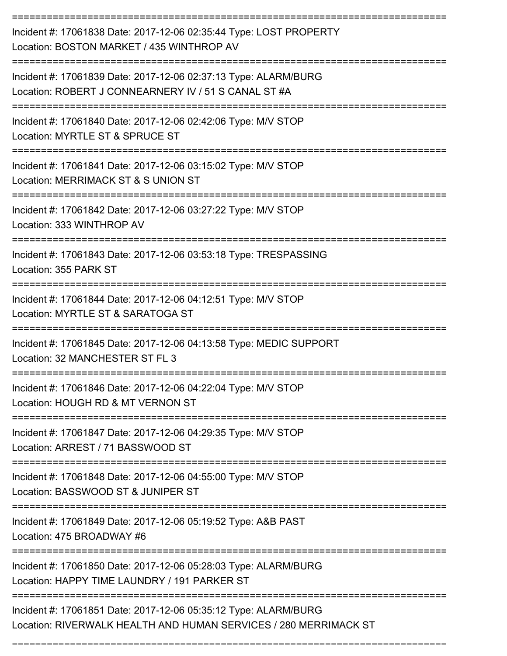| Incident #: 17061838 Date: 2017-12-06 02:35:44 Type: LOST PROPERTY<br>Location: BOSTON MARKET / 435 WINTHROP AV                     |
|-------------------------------------------------------------------------------------------------------------------------------------|
| Incident #: 17061839 Date: 2017-12-06 02:37:13 Type: ALARM/BURG<br>Location: ROBERT J CONNEARNERY IV / 51 S CANAL ST #A             |
| Incident #: 17061840 Date: 2017-12-06 02:42:06 Type: M/V STOP<br>Location: MYRTLE ST & SPRUCE ST                                    |
| Incident #: 17061841 Date: 2017-12-06 03:15:02 Type: M/V STOP<br>Location: MERRIMACK ST & S UNION ST                                |
| Incident #: 17061842 Date: 2017-12-06 03:27:22 Type: M/V STOP<br>Location: 333 WINTHROP AV                                          |
| Incident #: 17061843 Date: 2017-12-06 03:53:18 Type: TRESPASSING<br>Location: 355 PARK ST                                           |
| Incident #: 17061844 Date: 2017-12-06 04:12:51 Type: M/V STOP<br>Location: MYRTLE ST & SARATOGA ST                                  |
| Incident #: 17061845 Date: 2017-12-06 04:13:58 Type: MEDIC SUPPORT<br>Location: 32 MANCHESTER ST FL 3                               |
| Incident #: 17061846 Date: 2017-12-06 04:22:04 Type: M/V STOP<br>Location: HOUGH RD & MT VERNON ST                                  |
| Incident #: 17061847 Date: 2017-12-06 04:29:35 Type: M/V STOP<br>Location: ARREST / 71 BASSWOOD ST                                  |
| Incident #: 17061848 Date: 2017-12-06 04:55:00 Type: M/V STOP<br>Location: BASSWOOD ST & JUNIPER ST                                 |
| Incident #: 17061849 Date: 2017-12-06 05:19:52 Type: A&B PAST<br>Location: 475 BROADWAY #6                                          |
| Incident #: 17061850 Date: 2017-12-06 05:28:03 Type: ALARM/BURG<br>Location: HAPPY TIME LAUNDRY / 191 PARKER ST                     |
| Incident #: 17061851 Date: 2017-12-06 05:35:12 Type: ALARM/BURG<br>Location: RIVERWALK HEALTH AND HUMAN SERVICES / 280 MERRIMACK ST |

===========================================================================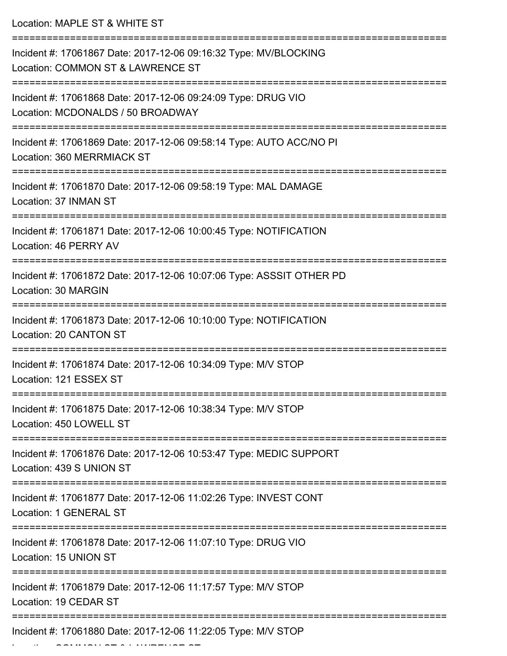| Location: MAPLE ST & WHITE ST                                                                                                                       |
|-----------------------------------------------------------------------------------------------------------------------------------------------------|
| Incident #: 17061867 Date: 2017-12-06 09:16:32 Type: MV/BLOCKING<br>Location: COMMON ST & LAWRENCE ST                                               |
| Incident #: 17061868 Date: 2017-12-06 09:24:09 Type: DRUG VIO<br>Location: MCDONALDS / 50 BROADWAY                                                  |
| Incident #: 17061869 Date: 2017-12-06 09:58:14 Type: AUTO ACC/NO PI<br>Location: 360 MERRMIACK ST                                                   |
| Incident #: 17061870 Date: 2017-12-06 09:58:19 Type: MAL DAMAGE<br>Location: 37 INMAN ST                                                            |
| Incident #: 17061871 Date: 2017-12-06 10:00:45 Type: NOTIFICATION<br>Location: 46 PERRY AV                                                          |
| Incident #: 17061872 Date: 2017-12-06 10:07:06 Type: ASSSIT OTHER PD<br>Location: 30 MARGIN                                                         |
| Incident #: 17061873 Date: 2017-12-06 10:10:00 Type: NOTIFICATION<br>Location: 20 CANTON ST                                                         |
| Incident #: 17061874 Date: 2017-12-06 10:34:09 Type: M/V STOP<br>Location: 121 ESSEX ST                                                             |
| :==================================<br>================<br>Incident #: 17061875 Date: 2017-12-06 10:38:34 Type: M/V STOP<br>Location: 450 LOWELL ST |
| Incident #: 17061876 Date: 2017-12-06 10:53:47 Type: MEDIC SUPPORT<br>Location: 439 S UNION ST                                                      |
| Incident #: 17061877 Date: 2017-12-06 11:02:26 Type: INVEST CONT<br>Location: 1 GENERAL ST                                                          |
| Incident #: 17061878 Date: 2017-12-06 11:07:10 Type: DRUG VIO<br>Location: 15 UNION ST                                                              |
| Incident #: 17061879 Date: 2017-12-06 11:17:57 Type: M/V STOP<br>Location: 19 CEDAR ST                                                              |
| Incident #: 17061880 Date: 2017-12-06 11:22:05 Type: M/V STOP                                                                                       |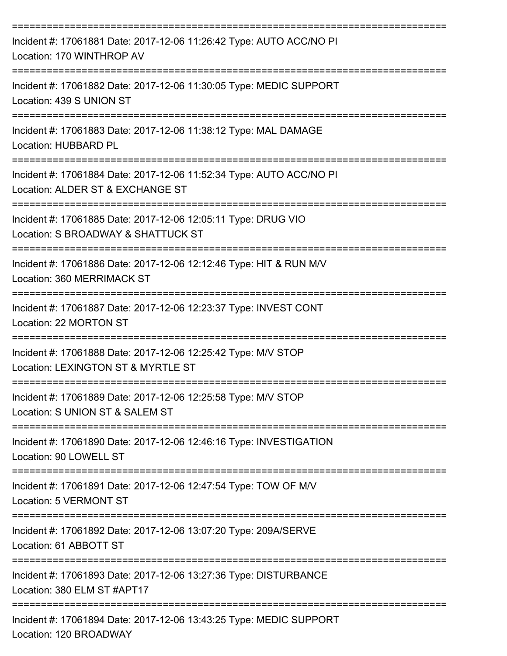| Incident #: 17061881 Date: 2017-12-06 11:26:42 Type: AUTO ACC/NO PI<br>Location: 170 WINTHROP AV                                           |
|--------------------------------------------------------------------------------------------------------------------------------------------|
| Incident #: 17061882 Date: 2017-12-06 11:30:05 Type: MEDIC SUPPORT<br>Location: 439 S UNION ST                                             |
| Incident #: 17061883 Date: 2017-12-06 11:38:12 Type: MAL DAMAGE<br>Location: HUBBARD PL                                                    |
| Incident #: 17061884 Date: 2017-12-06 11:52:34 Type: AUTO ACC/NO PI<br>Location: ALDER ST & EXCHANGE ST                                    |
| Incident #: 17061885 Date: 2017-12-06 12:05:11 Type: DRUG VIO<br>Location: S BROADWAY & SHATTUCK ST                                        |
| Incident #: 17061886 Date: 2017-12-06 12:12:46 Type: HIT & RUN M/V<br>Location: 360 MERRIMACK ST                                           |
| Incident #: 17061887 Date: 2017-12-06 12:23:37 Type: INVEST CONT<br>Location: 22 MORTON ST                                                 |
| ===================================<br>Incident #: 17061888 Date: 2017-12-06 12:25:42 Type: M/V STOP<br>Location: LEXINGTON ST & MYRTLE ST |
| Incident #: 17061889 Date: 2017-12-06 12:25:58 Type: M/V STOP<br>Location: S UNION ST & SALEM ST                                           |
| -----------------------------<br>Incident #: 17061890 Date: 2017-12-06 12:46:16 Type: INVESTIGATION<br>Location: 90 LOWELL ST              |
| Incident #: 17061891 Date: 2017-12-06 12:47:54 Type: TOW OF M/V<br><b>Location: 5 VERMONT ST</b>                                           |
| ----------------------------------<br>Incident #: 17061892 Date: 2017-12-06 13:07:20 Type: 209A/SERVE<br>Location: 61 ABBOTT ST            |
| Incident #: 17061893 Date: 2017-12-06 13:27:36 Type: DISTURBANCE<br>Location: 380 ELM ST #APT17                                            |
| Incident #: 17061894 Date: 2017-12-06 13:43:25 Type: MEDIC SUPPORT<br>Location: 120 BROADWAY                                               |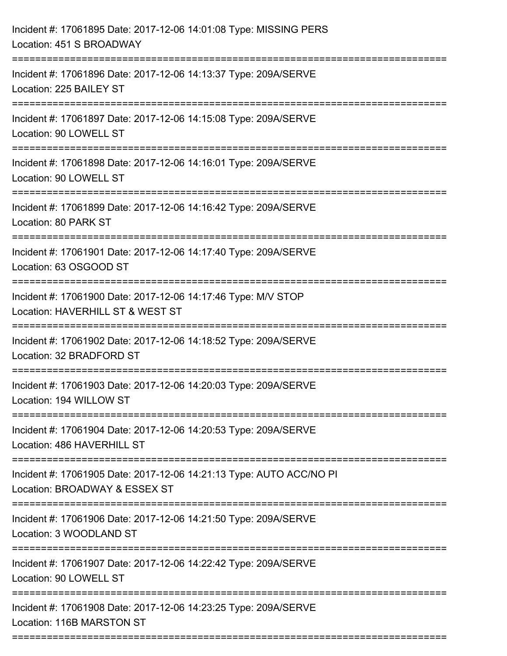| Incident #: 17061895 Date: 2017-12-06 14:01:08 Type: MISSING PERS<br>Location: 451 S BROADWAY<br>============== |
|-----------------------------------------------------------------------------------------------------------------|
| Incident #: 17061896 Date: 2017-12-06 14:13:37 Type: 209A/SERVE<br>Location: 225 BAILEY ST                      |
| Incident #: 17061897 Date: 2017-12-06 14:15:08 Type: 209A/SERVE<br>Location: 90 LOWELL ST                       |
| Incident #: 17061898 Date: 2017-12-06 14:16:01 Type: 209A/SERVE<br>Location: 90 LOWELL ST                       |
| Incident #: 17061899 Date: 2017-12-06 14:16:42 Type: 209A/SERVE<br>Location: 80 PARK ST                         |
| Incident #: 17061901 Date: 2017-12-06 14:17:40 Type: 209A/SERVE<br>Location: 63 OSGOOD ST                       |
| Incident #: 17061900 Date: 2017-12-06 14:17:46 Type: M/V STOP<br>Location: HAVERHILL ST & WEST ST               |
| Incident #: 17061902 Date: 2017-12-06 14:18:52 Type: 209A/SERVE<br>Location: 32 BRADFORD ST                     |
| Incident #: 17061903 Date: 2017-12-06 14:20:03 Type: 209A/SERVE<br>Location: 194 WILLOW ST                      |
| Incident #: 17061904 Date: 2017-12-06 14:20:53 Type: 209A/SERVE<br>Location: 486 HAVERHILL ST                   |
| Incident #: 17061905 Date: 2017-12-06 14:21:13 Type: AUTO ACC/NO PI<br>Location: BROADWAY & ESSEX ST            |
| Incident #: 17061906 Date: 2017-12-06 14:21:50 Type: 209A/SERVE<br>Location: 3 WOODLAND ST                      |
| Incident #: 17061907 Date: 2017-12-06 14:22:42 Type: 209A/SERVE<br>Location: 90 LOWELL ST                       |
| Incident #: 17061908 Date: 2017-12-06 14:23:25 Type: 209A/SERVE<br>Location: 116B MARSTON ST                    |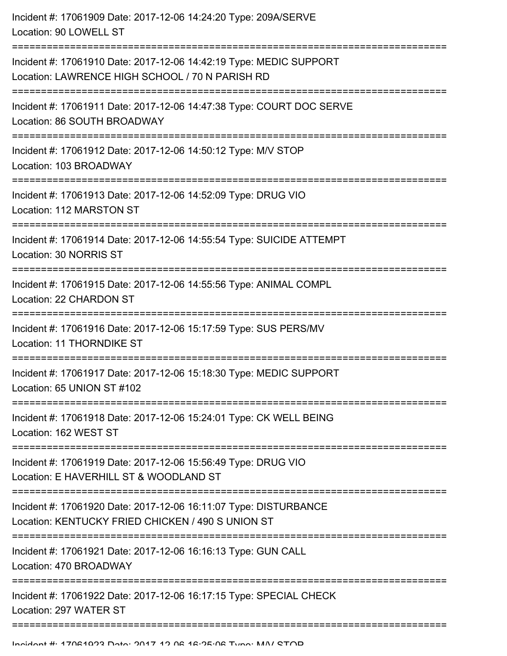| Incident #: 17061909 Date: 2017-12-06 14:24:20 Type: 209A/SERVE<br>Location: 90 LOWELL ST                             |
|-----------------------------------------------------------------------------------------------------------------------|
| Incident #: 17061910 Date: 2017-12-06 14:42:19 Type: MEDIC SUPPORT<br>Location: LAWRENCE HIGH SCHOOL / 70 N PARISH RD |
| Incident #: 17061911 Date: 2017-12-06 14:47:38 Type: COURT DOC SERVE<br>Location: 86 SOUTH BROADWAY                   |
| Incident #: 17061912 Date: 2017-12-06 14:50:12 Type: M/V STOP<br>Location: 103 BROADWAY                               |
| Incident #: 17061913 Date: 2017-12-06 14:52:09 Type: DRUG VIO<br>Location: 112 MARSTON ST                             |
| Incident #: 17061914 Date: 2017-12-06 14:55:54 Type: SUICIDE ATTEMPT<br>Location: 30 NORRIS ST                        |
| Incident #: 17061915 Date: 2017-12-06 14:55:56 Type: ANIMAL COMPL<br>Location: 22 CHARDON ST                          |
| Incident #: 17061916 Date: 2017-12-06 15:17:59 Type: SUS PERS/MV<br>Location: 11 THORNDIKE ST                         |
| Incident #: 17061917 Date: 2017-12-06 15:18:30 Type: MEDIC SUPPORT<br>Location: 65 UNION ST #102                      |
| Incident #: 17061918 Date: 2017-12-06 15:24:01 Type: CK WELL BEING<br>Location: 162 WEST ST                           |
| Incident #: 17061919 Date: 2017-12-06 15:56:49 Type: DRUG VIO<br>Location: E HAVERHILL ST & WOODLAND ST               |
| Incident #: 17061920 Date: 2017-12-06 16:11:07 Type: DISTURBANCE<br>Location: KENTUCKY FRIED CHICKEN / 490 S UNION ST |
| Incident #: 17061921 Date: 2017-12-06 16:16:13 Type: GUN CALL<br>Location: 470 BROADWAY                               |
| Incident #: 17061922 Date: 2017-12-06 16:17:15 Type: SPECIAL CHECK<br>Location: 297 WATER ST                          |
|                                                                                                                       |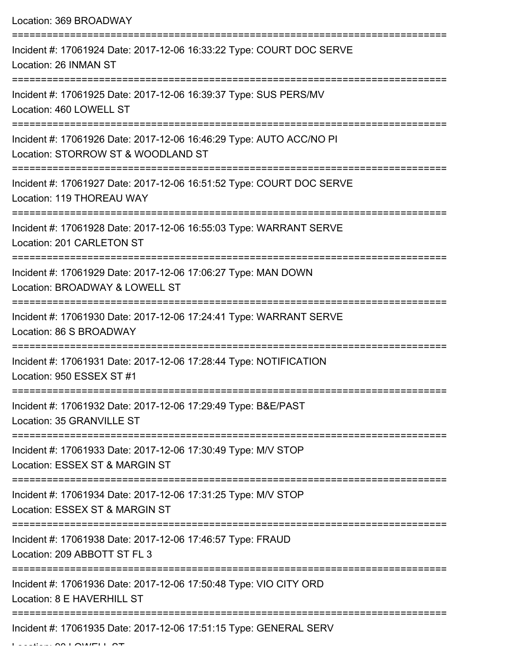Location: 369 BROADWAY

| Incident #: 17061924 Date: 2017-12-06 16:33:22 Type: COURT DOC SERVE<br>Location: 26 INMAN ST                            |
|--------------------------------------------------------------------------------------------------------------------------|
| Incident #: 17061925 Date: 2017-12-06 16:39:37 Type: SUS PERS/MV<br>Location: 460 LOWELL ST                              |
| Incident #: 17061926 Date: 2017-12-06 16:46:29 Type: AUTO ACC/NO PI<br>Location: STORROW ST & WOODLAND ST                |
| Incident #: 17061927 Date: 2017-12-06 16:51:52 Type: COURT DOC SERVE<br>Location: 119 THOREAU WAY                        |
| Incident #: 17061928 Date: 2017-12-06 16:55:03 Type: WARRANT SERVE<br>Location: 201 CARLETON ST                          |
| Incident #: 17061929 Date: 2017-12-06 17:06:27 Type: MAN DOWN<br>Location: BROADWAY & LOWELL ST                          |
| Incident #: 17061930 Date: 2017-12-06 17:24:41 Type: WARRANT SERVE<br>Location: 86 S BROADWAY<br>======================= |
| Incident #: 17061931 Date: 2017-12-06 17:28:44 Type: NOTIFICATION<br>Location: 950 ESSEX ST #1                           |
| Incident #: 17061932 Date: 2017-12-06 17:29:49 Type: B&E/PAST<br>Location: 35 GRANVILLE ST                               |
| Incident #: 17061933 Date: 2017-12-06 17:30:49 Type: M/V STOP<br>Location: ESSEX ST & MARGIN ST                          |
| Incident #: 17061934 Date: 2017-12-06 17:31:25 Type: M/V STOP<br>Location: ESSEX ST & MARGIN ST                          |
| Incident #: 17061938 Date: 2017-12-06 17:46:57 Type: FRAUD<br>Location: 209 ABBOTT ST FL 3                               |
| Incident #: 17061936 Date: 2017-12-06 17:50:48 Type: VIO CITY ORD<br>Location: 8 E HAVERHILL ST                          |
| Incident #: 17061935 Date: 2017-12-06 17:51:15 Type: GENERAL SERV                                                        |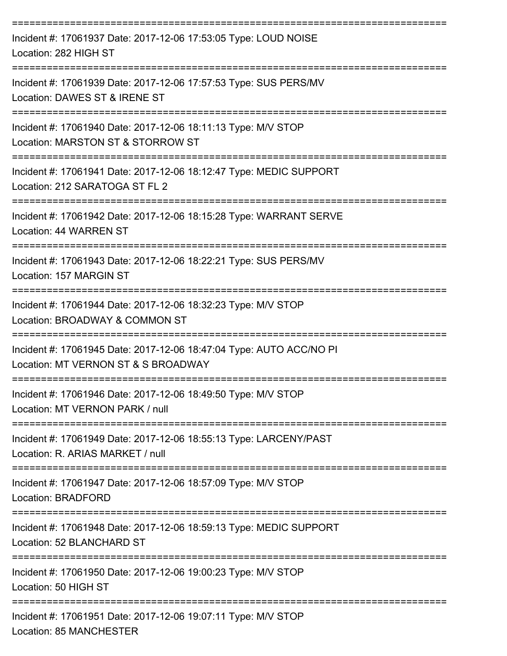| Incident #: 17061937 Date: 2017-12-06 17:53:05 Type: LOUD NOISE<br>Location: 282 HIGH ST                   |
|------------------------------------------------------------------------------------------------------------|
| Incident #: 17061939 Date: 2017-12-06 17:57:53 Type: SUS PERS/MV<br>Location: DAWES ST & IRENE ST          |
| Incident #: 17061940 Date: 2017-12-06 18:11:13 Type: M/V STOP<br>Location: MARSTON ST & STORROW ST         |
| Incident #: 17061941 Date: 2017-12-06 18:12:47 Type: MEDIC SUPPORT<br>Location: 212 SARATOGA ST FL 2       |
| Incident #: 17061942 Date: 2017-12-06 18:15:28 Type: WARRANT SERVE<br>Location: 44 WARREN ST               |
| Incident #: 17061943 Date: 2017-12-06 18:22:21 Type: SUS PERS/MV<br>Location: 157 MARGIN ST                |
| Incident #: 17061944 Date: 2017-12-06 18:32:23 Type: M/V STOP<br>Location: BROADWAY & COMMON ST            |
| Incident #: 17061945 Date: 2017-12-06 18:47:04 Type: AUTO ACC/NO PI<br>Location: MT VERNON ST & S BROADWAY |
| Incident #: 17061946 Date: 2017-12-06 18:49:50 Type: M/V STOP<br>Location: MT VERNON PARK / null           |
| Incident #: 17061949 Date: 2017-12-06 18:55:13 Type: LARCENY/PAST<br>Location: R. ARIAS MARKET / null      |
| Incident #: 17061947 Date: 2017-12-06 18:57:09 Type: M/V STOP<br>Location: BRADFORD                        |
| Incident #: 17061948 Date: 2017-12-06 18:59:13 Type: MEDIC SUPPORT<br>Location: 52 BLANCHARD ST            |
| Incident #: 17061950 Date: 2017-12-06 19:00:23 Type: M/V STOP<br>Location: 50 HIGH ST                      |
| Incident #: 17061951 Date: 2017-12-06 19:07:11 Type: M/V STOP<br>Location: 85 MANCHESTER                   |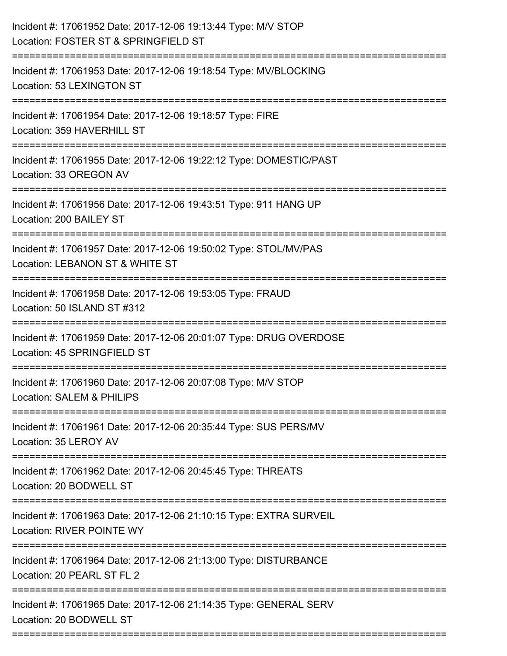| Incident #: 17061952 Date: 2017-12-06 19:13:44 Type: M/V STOP<br>Location: FOSTER ST & SPRINGFIELD ST                                                                                                 |
|-------------------------------------------------------------------------------------------------------------------------------------------------------------------------------------------------------|
| ==================================<br>:=======================<br>Incident #: 17061953 Date: 2017-12-06 19:18:54 Type: MV/BLOCKING<br>Location: 53 LEXINGTON ST<br>================================== |
| Incident #: 17061954 Date: 2017-12-06 19:18:57 Type: FIRE<br>Location: 359 HAVERHILL ST                                                                                                               |
| Incident #: 17061955 Date: 2017-12-06 19:22:12 Type: DOMESTIC/PAST<br>Location: 33 OREGON AV                                                                                                          |
| Incident #: 17061956 Date: 2017-12-06 19:43:51 Type: 911 HANG UP<br>Location: 200 BAILEY ST                                                                                                           |
| Incident #: 17061957 Date: 2017-12-06 19:50:02 Type: STOL/MV/PAS<br>Location: LEBANON ST & WHITE ST                                                                                                   |
| Incident #: 17061958 Date: 2017-12-06 19:53:05 Type: FRAUD<br>Location: 50 ISLAND ST #312                                                                                                             |
| Incident #: 17061959 Date: 2017-12-06 20:01:07 Type: DRUG OVERDOSE<br>Location: 45 SPRINGFIELD ST                                                                                                     |
| Incident #: 17061960 Date: 2017-12-06 20:07:08 Type: M/V STOP<br><b>Location: SALEM &amp; PHILIPS</b>                                                                                                 |
| Incident #: 17061961 Date: 2017-12-06 20:35:44 Type: SUS PERS/MV<br>Location: 35 LEROY AV                                                                                                             |
| Incident #: 17061962 Date: 2017-12-06 20:45:45 Type: THREATS<br>Location: 20 BODWELL ST                                                                                                               |
| Incident #: 17061963 Date: 2017-12-06 21:10:15 Type: EXTRA SURVEIL<br><b>Location: RIVER POINTE WY</b>                                                                                                |
| Incident #: 17061964 Date: 2017-12-06 21:13:00 Type: DISTURBANCE<br>Location: 20 PEARL ST FL 2                                                                                                        |
| Incident #: 17061965 Date: 2017-12-06 21:14:35 Type: GENERAL SERV<br>Location: 20 BODWELL ST                                                                                                          |